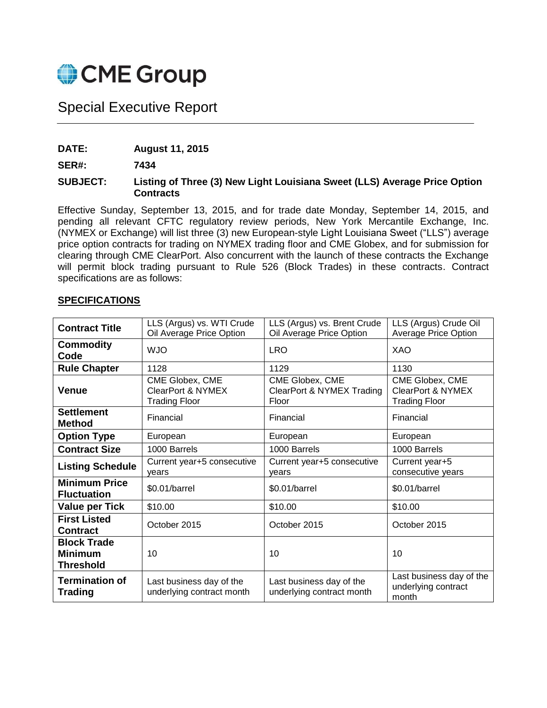

# Special Executive Report

**DATE: August 11, 2015**

**SER#: 7434**

#### **SUBJECT: Listing of Three (3) New Light Louisiana Sweet (LLS) Average Price Option Contracts**

Effective Sunday, September 13, 2015, and for trade date Monday, September 14, 2015, and pending all relevant CFTC regulatory review periods, New York Mercantile Exchange, Inc. (NYMEX or Exchange) will list three (3) new European-style Light Louisiana Sweet ("LLS") average price option contracts for trading on NYMEX trading floor and CME Globex, and for submission for clearing through CME ClearPort. Also concurrent with the launch of these contracts the Exchange will permit block trading pursuant to Rule 526 (Block Trades) in these contracts. Contract specifications are as follows:

| <b>Contract Title</b>                                    | LLS (Argus) vs. WTI Crude<br>Oil Average Price Option                   | LLS (Argus) vs. Brent Crude<br>Oil Average Price Option | LLS (Argus) Crude Oil<br><b>Average Price Option</b>                    |
|----------------------------------------------------------|-------------------------------------------------------------------------|---------------------------------------------------------|-------------------------------------------------------------------------|
| <b>Commodity</b><br>Code                                 | <b>WJO</b>                                                              | <b>LRO</b>                                              | XAO                                                                     |
| <b>Rule Chapter</b>                                      | 1128                                                                    | 1129                                                    | 1130                                                                    |
| <b>Venue</b>                                             | CME Globex, CME<br><b>ClearPort &amp; NYMEX</b><br><b>Trading Floor</b> | CME Globex, CME<br>ClearPort & NYMEX Trading<br>Floor   | CME Globex, CME<br><b>ClearPort &amp; NYMEX</b><br><b>Trading Floor</b> |
| <b>Settlement</b><br><b>Method</b>                       | Financial                                                               | Financial                                               | Financial                                                               |
| <b>Option Type</b>                                       | European                                                                | European                                                | European                                                                |
| <b>Contract Size</b>                                     | 1000 Barrels                                                            | 1000 Barrels                                            | 1000 Barrels                                                            |
| <b>Listing Schedule</b>                                  | Current year+5 consecutive<br>vears                                     | Current year+5 consecutive<br>vears                     | Current year+5<br>consecutive years                                     |
| <b>Minimum Price</b><br><b>Fluctuation</b>               | $$0.01/b$ arrel                                                         | \$0.01/barrel                                           | \$0.01/barrel                                                           |
| <b>Value per Tick</b>                                    | \$10.00                                                                 | \$10.00                                                 | \$10.00                                                                 |
| <b>First Listed</b><br><b>Contract</b>                   | October 2015                                                            | October 2015                                            | October 2015                                                            |
| <b>Block Trade</b><br><b>Minimum</b><br><b>Threshold</b> | 10                                                                      | 10                                                      | 10                                                                      |
| <b>Termination of</b><br><b>Trading</b>                  | Last business day of the<br>underlying contract month                   | Last business day of the<br>underlying contract month   | Last business day of the<br>underlying contract<br>month                |

### **SPECIFICATIONS**